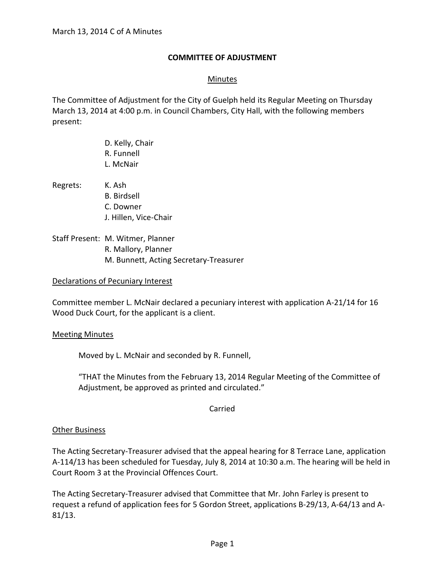## **COMMITTEE OF ADJUSTMENT**

## Minutes

The Committee of Adjustment for the City of Guelph held its Regular Meeting on Thursday March 13, 2014 at 4:00 p.m. in Council Chambers, City Hall, with the following members present:

- D. Kelly, Chair R. Funnell L. McNair Regrets: K. Ash B. Birdsell C. Downer J. Hillen, Vice-Chair Staff Present: M. Witmer, Planner
- R. Mallory, Planner M. Bunnett, Acting Secretary-Treasurer

### Declarations of Pecuniary Interest

Committee member L. McNair declared a pecuniary interest with application A-21/14 for 16 Wood Duck Court, for the applicant is a client.

### Meeting Minutes

Moved by L. McNair and seconded by R. Funnell,

"THAT the Minutes from the February 13, 2014 Regular Meeting of the Committee of Adjustment, be approved as printed and circulated."

Carried

### **Other Business**

The Acting Secretary-Treasurer advised that the appeal hearing for 8 Terrace Lane, application A-114/13 has been scheduled for Tuesday, July 8, 2014 at 10:30 a.m. The hearing will be held in Court Room 3 at the Provincial Offences Court.

The Acting Secretary-Treasurer advised that Committee that Mr. John Farley is present to request a refund of application fees for 5 Gordon Street, applications B-29/13, A-64/13 and A-81/13.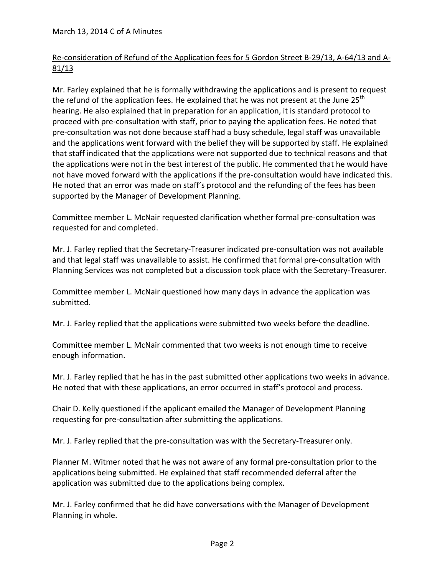## March 13, 2014 C of A Minutes

# Re-consideration of Refund of the Application fees for 5 Gordon Street B-29/13, A-64/13 and A- $81/13$

Mr. Farley explained that he is formally withdrawing the applications and is present to request the refund of the application fees. He explained that he was not present at the June  $25<sup>th</sup>$ hearing. He also explained that in preparation for an application, it is standard protocol to proceed with pre-consultation with staff, prior to paying the application fees. He noted that pre-consultation was not done because staff had a busy schedule, legal staff was unavailable and the applications went forward with the belief they will be supported by staff. He explained that staff indicated that the applications were not supported due to technical reasons and that the applications were not in the best interest of the public. He commented that he would have not have moved forward with the applications if the pre-consultation would have indicated this. He noted that an error was made on staff's protocol and the refunding of the fees has been supported by the Manager of Development Planning.

Committee member L. McNair requested clarification whether formal pre-consultation was requested for and completed.

Mr. J. Farley replied that the Secretary-Treasurer indicated pre-consultation was not available and that legal staff was unavailable to assist. He confirmed that formal pre-consultation with Planning Services was not completed but a discussion took place with the Secretary-Treasurer.

Committee member L. McNair questioned how many days in advance the application was submitted.

Mr. J. Farley replied that the applications were submitted two weeks before the deadline.

Committee member L. McNair commented that two weeks is not enough time to receive enough information.

Mr. J. Farley replied that he has in the past submitted other applications two weeks in advance. He noted that with these applications, an error occurred in staff's protocol and process.

Chair D. Kelly questioned if the applicant emailed the Manager of Development Planning requesting for pre-consultation after submitting the applications.

Mr. J. Farley replied that the pre-consultation was with the Secretary-Treasurer only.

Planner M. Witmer noted that he was not aware of any formal pre-consultation prior to the applications being submitted. He explained that staff recommended deferral after the application was submitted due to the applications being complex.

Mr. J. Farley confirmed that he did have conversations with the Manager of Development Planning in whole.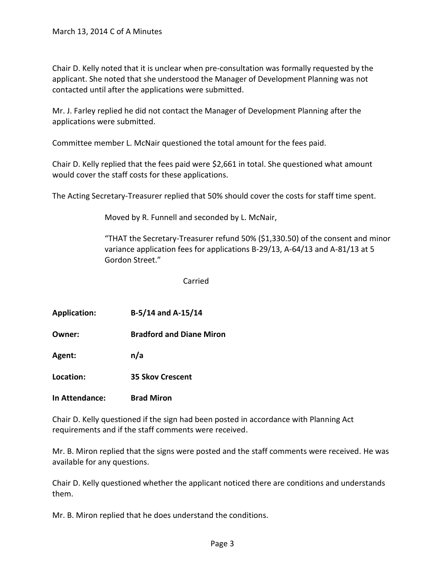Chair D. Kelly noted that it is unclear when pre-consultation was formally requested by the applicant. She noted that she understood the Manager of Development Planning was not contacted until after the applications were submitted.

Mr. J. Farley replied he did not contact the Manager of Development Planning after the applications were submitted.

Committee member L. McNair questioned the total amount for the fees paid.

Chair D. Kelly replied that the fees paid were \$2,661 in total. She questioned what amount would cover the staff costs for these applications.

The Acting Secretary-Treasurer replied that 50% should cover the costs for staff time spent.

Moved by R. Funnell and seconded by L. McNair,

"THAT the Secretary-Treasurer refund 50% (\$1,330.50) of the consent and minor variance application fees for applications B-29/13, A-64/13 and A-81/13 at 5 Gordon Street."

Carried

| <b>Application:</b> | B-5/14 and A-15/14 |
|---------------------|--------------------|
|                     |                    |

**Owner: Bradford and Diane Miron**

**Agent: n/a**

**Location: 35 Skov Crescent**

**In Attendance: Brad Miron**

Chair D. Kelly questioned if the sign had been posted in accordance with Planning Act requirements and if the staff comments were received.

Mr. B. Miron replied that the signs were posted and the staff comments were received. He was available for any questions.

Chair D. Kelly questioned whether the applicant noticed there are conditions and understands them.

Mr. B. Miron replied that he does understand the conditions.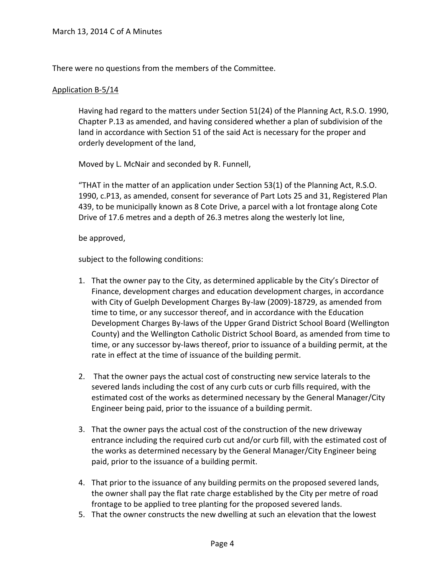There were no questions from the members of the Committee.

### Application B-5/14

Having had regard to the matters under Section 51(24) of the Planning Act, R.S.O. 1990, Chapter P.13 as amended, and having considered whether a plan of subdivision of the land in accordance with Section 51 of the said Act is necessary for the proper and orderly development of the land,

Moved by L. McNair and seconded by R. Funnell,

"THAT in the matter of an application under Section 53(1) of the Planning Act, R.S.O. 1990, c.P13, as amended, consent for severance of Part Lots 25 and 31, Registered Plan 439, to be municipally known as 8 Cote Drive, a parcel with a lot frontage along Cote Drive of 17.6 metres and a depth of 26.3 metres along the westerly lot line,

### be approved,

subject to the following conditions:

- 1. That the owner pay to the City, as determined applicable by the City's Director of Finance, development charges and education development charges, in accordance with City of Guelph Development Charges By-law (2009)-18729, as amended from time to time, or any successor thereof, and in accordance with the Education Development Charges By-laws of the Upper Grand District School Board (Wellington County) and the Wellington Catholic District School Board, as amended from time to time, or any successor by-laws thereof, prior to issuance of a building permit, at the rate in effect at the time of issuance of the building permit.
- 2. That the owner pays the actual cost of constructing new service laterals to the severed lands including the cost of any curb cuts or curb fills required, with the estimated cost of the works as determined necessary by the General Manager/City Engineer being paid, prior to the issuance of a building permit.
- 3. That the owner pays the actual cost of the construction of the new driveway entrance including the required curb cut and/or curb fill, with the estimated cost of the works as determined necessary by the General Manager/City Engineer being paid, prior to the issuance of a building permit.
- 4. That prior to the issuance of any building permits on the proposed severed lands, the owner shall pay the flat rate charge established by the City per metre of road frontage to be applied to tree planting for the proposed severed lands.
- 5. That the owner constructs the new dwelling at such an elevation that the lowest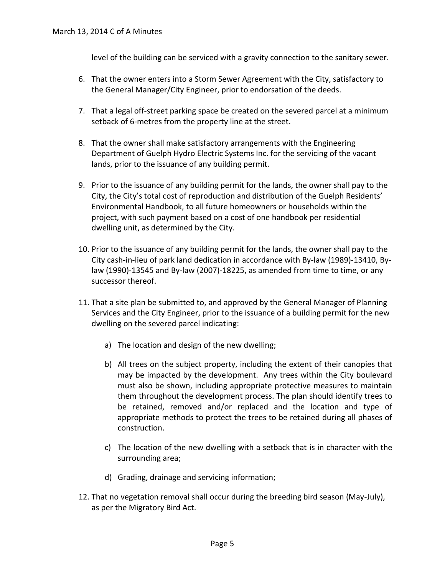level of the building can be serviced with a gravity connection to the sanitary sewer.

- 6. That the owner enters into a Storm Sewer Agreement with the City, satisfactory to the General Manager/City Engineer, prior to endorsation of the deeds.
- 7. That a legal off-street parking space be created on the severed parcel at a minimum setback of 6-metres from the property line at the street.
- 8. That the owner shall make satisfactory arrangements with the Engineering Department of Guelph Hydro Electric Systems Inc. for the servicing of the vacant lands, prior to the issuance of any building permit.
- 9. Prior to the issuance of any building permit for the lands, the owner shall pay to the City, the City's total cost of reproduction and distribution of the Guelph Residents' Environmental Handbook, to all future homeowners or households within the project, with such payment based on a cost of one handbook per residential dwelling unit, as determined by the City.
- 10. Prior to the issuance of any building permit for the lands, the owner shall pay to the City cash-in-lieu of park land dedication in accordance with By-law (1989)-13410, Bylaw (1990)-13545 and By-law (2007)-18225, as amended from time to time, or any successor thereof.
- 11. That a site plan be submitted to, and approved by the General Manager of Planning Services and the City Engineer, prior to the issuance of a building permit for the new dwelling on the severed parcel indicating:
	- a) The location and design of the new dwelling;
	- b) All trees on the subject property, including the extent of their canopies that may be impacted by the development. Any trees within the City boulevard must also be shown, including appropriate protective measures to maintain them throughout the development process. The plan should identify trees to be retained, removed and/or replaced and the location and type of appropriate methods to protect the trees to be retained during all phases of construction.
	- c) The location of the new dwelling with a setback that is in character with the surrounding area;
	- d) Grading, drainage and servicing information;
- 12. That no vegetation removal shall occur during the breeding bird season (May-July), as per the Migratory Bird Act.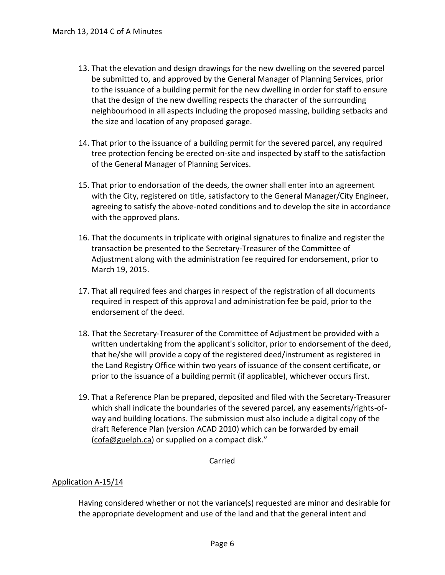- 13. That the elevation and design drawings for the new dwelling on the severed parcel be submitted to, and approved by the General Manager of Planning Services, prior to the issuance of a building permit for the new dwelling in order for staff to ensure that the design of the new dwelling respects the character of the surrounding neighbourhood in all aspects including the proposed massing, building setbacks and the size and location of any proposed garage.
- 14. That prior to the issuance of a building permit for the severed parcel, any required tree protection fencing be erected on-site and inspected by staff to the satisfaction of the General Manager of Planning Services.
- 15. That prior to endorsation of the deeds, the owner shall enter into an agreement with the City, registered on title, satisfactory to the General Manager/City Engineer, agreeing to satisfy the above-noted conditions and to develop the site in accordance with the approved plans.
- 16. That the documents in triplicate with original signatures to finalize and register the transaction be presented to the Secretary-Treasurer of the Committee of Adjustment along with the administration fee required for endorsement, prior to March 19, 2015.
- 17. That all required fees and charges in respect of the registration of all documents required in respect of this approval and administration fee be paid, prior to the endorsement of the deed.
- 18. That the Secretary-Treasurer of the Committee of Adjustment be provided with a written undertaking from the applicant's solicitor, prior to endorsement of the deed, that he/she will provide a copy of the registered deed/instrument as registered in the Land Registry Office within two years of issuance of the consent certificate, or prior to the issuance of a building permit (if applicable), whichever occurs first.
- 19. That a Reference Plan be prepared, deposited and filed with the Secretary-Treasurer which shall indicate the boundaries of the severed parcel, any easements/rights-ofway and building locations. The submission must also include a digital copy of the draft Reference Plan (version ACAD 2010) which can be forwarded by email (cofa@guelph.ca) or supplied on a compact disk."

Carried

## Application A-15/14

Having considered whether or not the variance(s) requested are minor and desirable for the appropriate development and use of the land and that the general intent and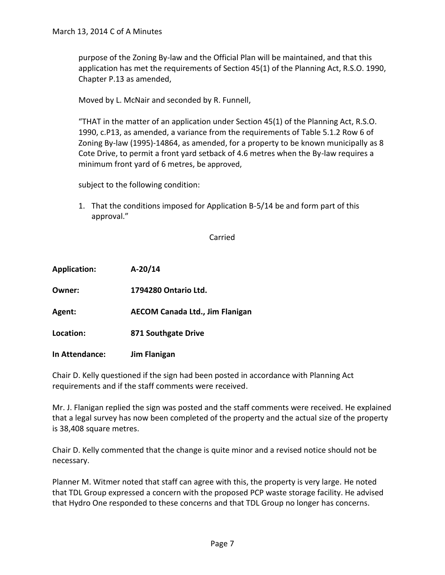purpose of the Zoning By-law and the Official Plan will be maintained, and that this application has met the requirements of Section 45(1) of the Planning Act, R.S.O. 1990, Chapter P.13 as amended,

Moved by L. McNair and seconded by R. Funnell,

"THAT in the matter of an application under Section 45(1) of the Planning Act, R.S.O. 1990, c.P13, as amended, a variance from the requirements of Table 5.1.2 Row 6 of Zoning By-law (1995)-14864, as amended, for a property to be known municipally as 8 Cote Drive, to permit a front yard setback of 4.6 metres when the By-law requires a minimum front yard of 6 metres, be approved,

subject to the following condition:

1. That the conditions imposed for Application B-5/14 be and form part of this approval."

Carried

| <b>Application:</b> | $A-20/14$                              |
|---------------------|----------------------------------------|
| Owner:              | 1794280 Ontario Ltd.                   |
| Agent:              | <b>AECOM Canada Ltd., Jim Flanigan</b> |
| Location:           | 871 Southgate Drive                    |
| In Attendance:      | <b>Jim Flanigan</b>                    |

Chair D. Kelly questioned if the sign had been posted in accordance with Planning Act requirements and if the staff comments were received.

Mr. J. Flanigan replied the sign was posted and the staff comments were received. He explained that a legal survey has now been completed of the property and the actual size of the property is 38,408 square metres.

Chair D. Kelly commented that the change is quite minor and a revised notice should not be necessary.

Planner M. Witmer noted that staff can agree with this, the property is very large. He noted that TDL Group expressed a concern with the proposed PCP waste storage facility. He advised that Hydro One responded to these concerns and that TDL Group no longer has concerns.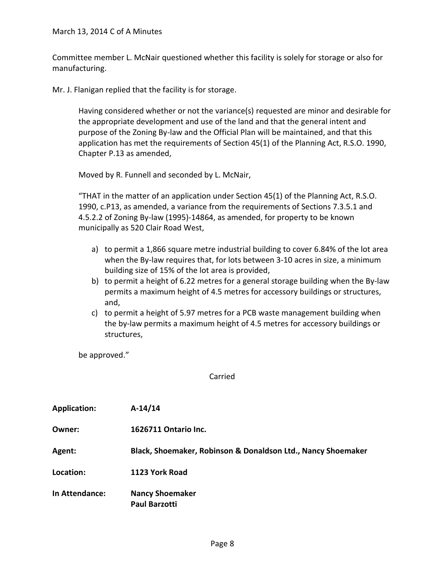Committee member L. McNair questioned whether this facility is solely for storage or also for manufacturing.

Mr. J. Flanigan replied that the facility is for storage.

Having considered whether or not the variance(s) requested are minor and desirable for the appropriate development and use of the land and that the general intent and purpose of the Zoning By-law and the Official Plan will be maintained, and that this application has met the requirements of Section 45(1) of the Planning Act, R.S.O. 1990, Chapter P.13 as amended,

Moved by R. Funnell and seconded by L. McNair,

"THAT in the matter of an application under Section 45(1) of the Planning Act, R.S.O. 1990, c.P13, as amended, a variance from the requirements of Sections 7.3.5.1 and 4.5.2.2 of Zoning By-law (1995)-14864, as amended, for property to be known municipally as 520 Clair Road West,

- a) to permit a 1,866 square metre industrial building to cover 6.84% of the lot area when the By-law requires that, for lots between 3-10 acres in size, a minimum building size of 15% of the lot area is provided,
- b) to permit a height of 6.22 metres for a general storage building when the By-law permits a maximum height of 4.5 metres for accessory buildings or structures, and,
- c) to permit a height of 5.97 metres for a PCB waste management building when the by-law permits a maximum height of 4.5 metres for accessory buildings or structures,

be approved."

Carried

| <b>Application:</b> | $A-14/14$                                                    |
|---------------------|--------------------------------------------------------------|
| Owner:              | 1626711 Ontario Inc.                                         |
| Agent:              | Black, Shoemaker, Robinson & Donaldson Ltd., Nancy Shoemaker |
| Location:           | 1123 York Road                                               |
| In Attendance:      | <b>Nancy Shoemaker</b><br><b>Paul Barzotti</b>               |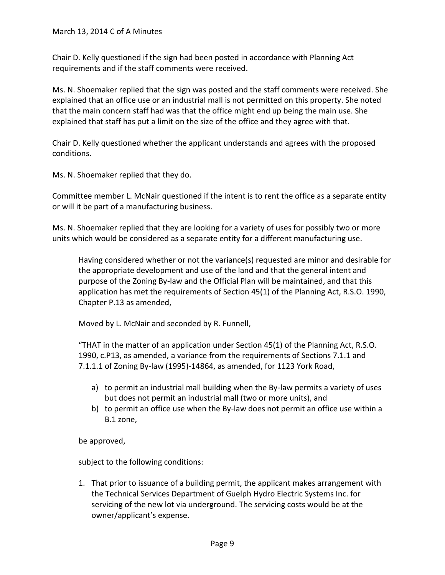Chair D. Kelly questioned if the sign had been posted in accordance with Planning Act requirements and if the staff comments were received.

Ms. N. Shoemaker replied that the sign was posted and the staff comments were received. She explained that an office use or an industrial mall is not permitted on this property. She noted that the main concern staff had was that the office might end up being the main use. She explained that staff has put a limit on the size of the office and they agree with that.

Chair D. Kelly questioned whether the applicant understands and agrees with the proposed conditions.

Ms. N. Shoemaker replied that they do.

Committee member L. McNair questioned if the intent is to rent the office as a separate entity or will it be part of a manufacturing business.

Ms. N. Shoemaker replied that they are looking for a variety of uses for possibly two or more units which would be considered as a separate entity for a different manufacturing use.

Having considered whether or not the variance(s) requested are minor and desirable for the appropriate development and use of the land and that the general intent and purpose of the Zoning By-law and the Official Plan will be maintained, and that this application has met the requirements of Section 45(1) of the Planning Act, R.S.O. 1990, Chapter P.13 as amended,

Moved by L. McNair and seconded by R. Funnell,

"THAT in the matter of an application under Section 45(1) of the Planning Act, R.S.O. 1990, c.P13, as amended, a variance from the requirements of Sections 7.1.1 and 7.1.1.1 of Zoning By-law (1995)-14864, as amended, for 1123 York Road,

- a) to permit an industrial mall building when the By-law permits a variety of uses but does not permit an industrial mall (two or more units), and
- b) to permit an office use when the By-law does not permit an office use within a B.1 zone,

be approved,

subject to the following conditions:

1. That prior to issuance of a building permit, the applicant makes arrangement with the Technical Services Department of Guelph Hydro Electric Systems Inc. for servicing of the new lot via underground. The servicing costs would be at the owner/applicant's expense.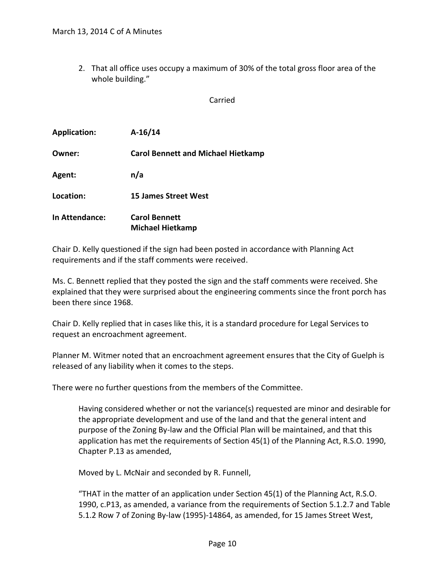2. That all office uses occupy a maximum of 30% of the total gross floor area of the whole building."

Carried

| <b>Application:</b>   | $A-16/14$                                       |
|-----------------------|-------------------------------------------------|
| Owner:                | <b>Carol Bennett and Michael Hietkamp</b>       |
| Agent:                | n/a                                             |
| Location:             | <b>15 James Street West</b>                     |
| <b>In Attendance:</b> | <b>Carol Bennett</b><br><b>Michael Hietkamp</b> |

Chair D. Kelly questioned if the sign had been posted in accordance with Planning Act requirements and if the staff comments were received.

Ms. C. Bennett replied that they posted the sign and the staff comments were received. She explained that they were surprised about the engineering comments since the front porch has been there since 1968.

Chair D. Kelly replied that in cases like this, it is a standard procedure for Legal Services to request an encroachment agreement.

Planner M. Witmer noted that an encroachment agreement ensures that the City of Guelph is released of any liability when it comes to the steps.

There were no further questions from the members of the Committee.

Having considered whether or not the variance(s) requested are minor and desirable for the appropriate development and use of the land and that the general intent and purpose of the Zoning By-law and the Official Plan will be maintained, and that this application has met the requirements of Section 45(1) of the Planning Act, R.S.O. 1990, Chapter P.13 as amended,

Moved by L. McNair and seconded by R. Funnell,

"THAT in the matter of an application under Section 45(1) of the Planning Act, R.S.O. 1990, c.P13, as amended, a variance from the requirements of Section 5.1.2.7 and Table 5.1.2 Row 7 of Zoning By-law (1995)-14864, as amended, for 15 James Street West,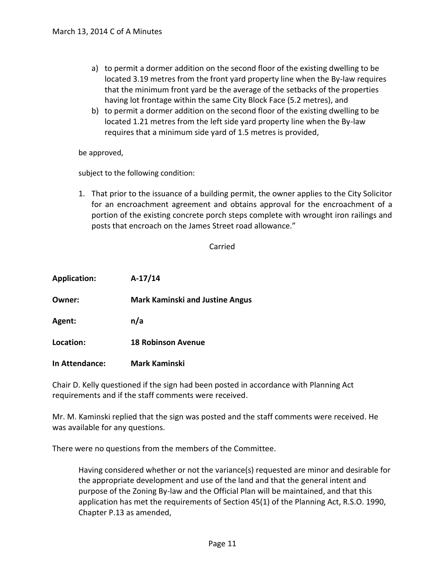- a) to permit a dormer addition on the second floor of the existing dwelling to be located 3.19 metres from the front yard property line when the By-law requires that the minimum front yard be the average of the setbacks of the properties having lot frontage within the same City Block Face (5.2 metres), and
- b) to permit a dormer addition on the second floor of the existing dwelling to be located 1.21 metres from the left side yard property line when the By-law requires that a minimum side yard of 1.5 metres is provided,

be approved,

subject to the following condition:

1. That prior to the issuance of a building permit, the owner applies to the City Solicitor for an encroachment agreement and obtains approval for the encroachment of a portion of the existing concrete porch steps complete with wrought iron railings and posts that encroach on the James Street road allowance."

#### Carried

| <b>Application:</b>   | $A-17/14$                              |
|-----------------------|----------------------------------------|
| Owner:                | <b>Mark Kaminski and Justine Angus</b> |
| Agent:                | n/a                                    |
| Location:             | <b>18 Robinson Avenue</b>              |
| <b>In Attendance:</b> | Mark Kaminski                          |

Chair D. Kelly questioned if the sign had been posted in accordance with Planning Act requirements and if the staff comments were received.

Mr. M. Kaminski replied that the sign was posted and the staff comments were received. He was available for any questions.

There were no questions from the members of the Committee.

Having considered whether or not the variance(s) requested are minor and desirable for the appropriate development and use of the land and that the general intent and purpose of the Zoning By-law and the Official Plan will be maintained, and that this application has met the requirements of Section 45(1) of the Planning Act, R.S.O. 1990, Chapter P.13 as amended,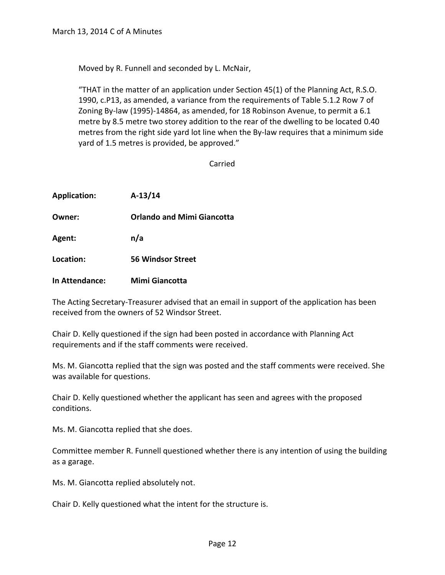Moved by R. Funnell and seconded by L. McNair,

"THAT in the matter of an application under Section 45(1) of the Planning Act, R.S.O. 1990, c.P13, as amended, a variance from the requirements of Table 5.1.2 Row 7 of Zoning By-law (1995)-14864, as amended, for 18 Robinson Avenue, to permit a 6.1 metre by 8.5 metre two storey addition to the rear of the dwelling to be located 0.40 metres from the right side yard lot line when the By-law requires that a minimum side yard of 1.5 metres is provided, be approved."

Carried

| <b>Application:</b> | $A-13/14$                         |
|---------------------|-----------------------------------|
| Owner:              | <b>Orlando and Mimi Giancotta</b> |
| Agent:              | n/a                               |
| Location:           | <b>56 Windsor Street</b>          |
| In Attendance:      | Mimi Giancotta                    |

The Acting Secretary-Treasurer advised that an email in support of the application has been received from the owners of 52 Windsor Street.

Chair D. Kelly questioned if the sign had been posted in accordance with Planning Act requirements and if the staff comments were received.

Ms. M. Giancotta replied that the sign was posted and the staff comments were received. She was available for questions.

Chair D. Kelly questioned whether the applicant has seen and agrees with the proposed conditions.

Ms. M. Giancotta replied that she does.

Committee member R. Funnell questioned whether there is any intention of using the building as a garage.

Ms. M. Giancotta replied absolutely not.

Chair D. Kelly questioned what the intent for the structure is.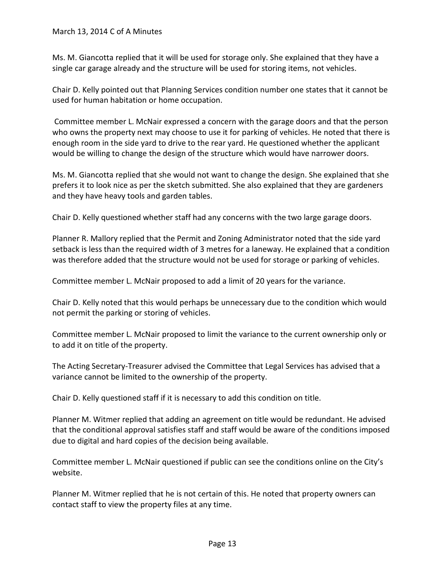Ms. M. Giancotta replied that it will be used for storage only. She explained that they have a single car garage already and the structure will be used for storing items, not vehicles.

Chair D. Kelly pointed out that Planning Services condition number one states that it cannot be used for human habitation or home occupation.

Committee member L. McNair expressed a concern with the garage doors and that the person who owns the property next may choose to use it for parking of vehicles. He noted that there is enough room in the side yard to drive to the rear yard. He questioned whether the applicant would be willing to change the design of the structure which would have narrower doors.

Ms. M. Giancotta replied that she would not want to change the design. She explained that she prefers it to look nice as per the sketch submitted. She also explained that they are gardeners and they have heavy tools and garden tables.

Chair D. Kelly questioned whether staff had any concerns with the two large garage doors.

Planner R. Mallory replied that the Permit and Zoning Administrator noted that the side yard setback is less than the required width of 3 metres for a laneway. He explained that a condition was therefore added that the structure would not be used for storage or parking of vehicles.

Committee member L. McNair proposed to add a limit of 20 years for the variance.

Chair D. Kelly noted that this would perhaps be unnecessary due to the condition which would not permit the parking or storing of vehicles.

Committee member L. McNair proposed to limit the variance to the current ownership only or to add it on title of the property.

The Acting Secretary-Treasurer advised the Committee that Legal Services has advised that a variance cannot be limited to the ownership of the property.

Chair D. Kelly questioned staff if it is necessary to add this condition on title.

Planner M. Witmer replied that adding an agreement on title would be redundant. He advised that the conditional approval satisfies staff and staff would be aware of the conditions imposed due to digital and hard copies of the decision being available.

Committee member L. McNair questioned if public can see the conditions online on the City's website.

Planner M. Witmer replied that he is not certain of this. He noted that property owners can contact staff to view the property files at any time.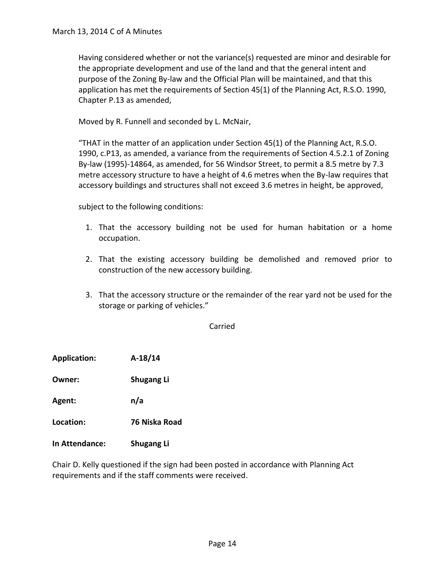Having considered whether or not the variance(s) requested are minor and desirable for the appropriate development and use of the land and that the general intent and purpose of the Zoning By-law and the Official Plan will be maintained, and that this application has met the requirements of Section 45(1) of the Planning Act, R.S.O. 1990, Chapter P.13 as amended,

Moved by R. Funnell and seconded by L. McNair,

"THAT in the matter of an application under Section 45(1) of the Planning Act, R.S.O. 1990, c.P13, as amended, a variance from the requirements of Section 4.5.2.1 of Zoning By-law (1995)-14864, as amended, for 56 Windsor Street, to permit a 8.5 metre by 7.3 metre accessory structure to have a height of 4.6 metres when the By-law requires that accessory buildings and structures shall not exceed 3.6 metres in height, be approved,

subject to the following conditions:

- 1. That the accessory building not be used for human habitation or a home occupation.
- 2. That the existing accessory building be demolished and removed prior to construction of the new accessory building.
- 3. That the accessory structure or the remainder of the rear yard not be used for the storage or parking of vehicles."

Carried

**Application: A-18/14**

**Owner: Shugang Li**

**Agent: n/a**

**Location: 76 Niska Road**

**In Attendance: Shugang Li**

Chair D. Kelly questioned if the sign had been posted in accordance with Planning Act requirements and if the staff comments were received.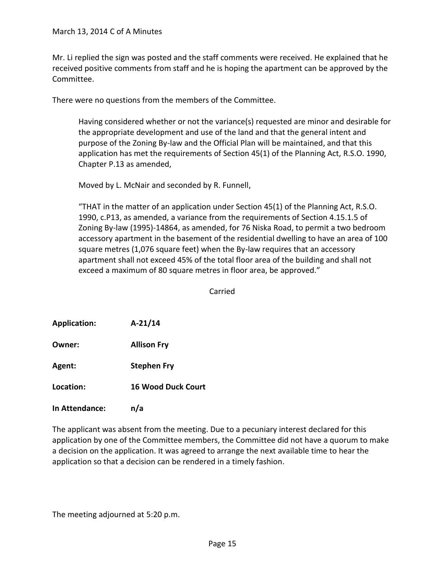Mr. Li replied the sign was posted and the staff comments were received. He explained that he received positive comments from staff and he is hoping the apartment can be approved by the Committee.

There were no questions from the members of the Committee.

Having considered whether or not the variance(s) requested are minor and desirable for the appropriate development and use of the land and that the general intent and purpose of the Zoning By-law and the Official Plan will be maintained, and that this application has met the requirements of Section 45(1) of the Planning Act, R.S.O. 1990, Chapter P.13 as amended,

Moved by L. McNair and seconded by R. Funnell,

"THAT in the matter of an application under Section 45(1) of the Planning Act, R.S.O. 1990, c.P13, as amended, a variance from the requirements of Section 4.15.1.5 of Zoning By-law (1995)-14864, as amended, for 76 Niska Road, to permit a two bedroom accessory apartment in the basement of the residential dwelling to have an area of 100 square metres (1,076 square feet) when the By-law requires that an accessory apartment shall not exceed 45% of the total floor area of the building and shall not exceed a maximum of 80 square metres in floor area, be approved."

Carried

**Application: A-21/14**

**Owner: Allison Fry**

**Agent: Stephen Fry**

**Location: 16 Wood Duck Court**

**In Attendance: n/a**

The applicant was absent from the meeting. Due to a pecuniary interest declared for this application by one of the Committee members, the Committee did not have a quorum to make a decision on the application. It was agreed to arrange the next available time to hear the application so that a decision can be rendered in a timely fashion.

The meeting adjourned at 5:20 p.m.